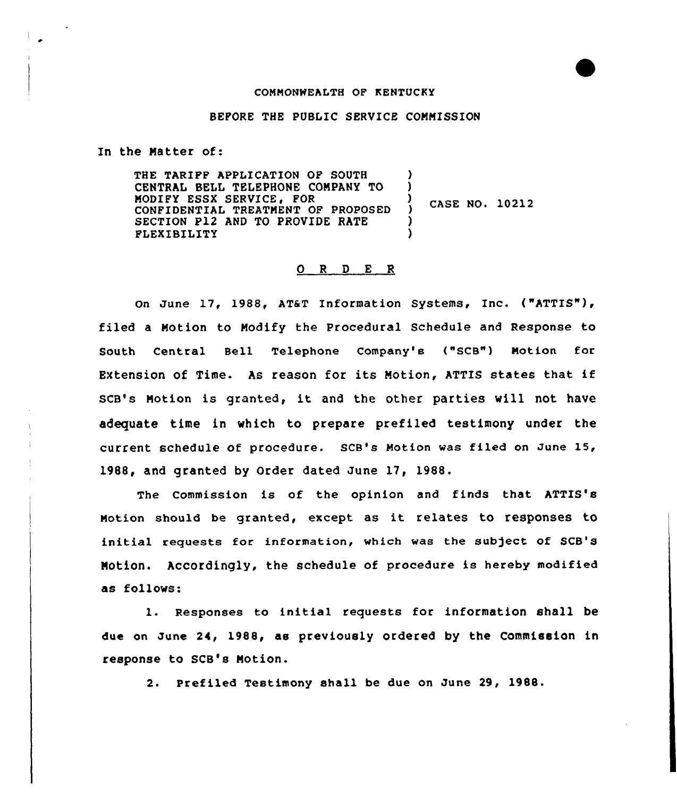## COMMONWEALTH OF KENTUCKY

## BEFORE THE PUBLIC SERVICE COMMISSION

In the Matter of:

THE TARIFF APPLICATION OF SOUTH CENTRAL BELL TELEPHONE COMPANY TO MODIFY ESSX SERVICE, FOR CONFIDENTIAL TREATMENT OF PROPOSED SECTION P12 AND TO PROVIDE RATE FLEXIBILITY ) ) ) CASE NO. 10212 ) )

## 0 <sup>R</sup> <sup>D</sup> E <sup>R</sup>

On June 17, 1988, AT&T Information Systems, Inc. ("ATTIS"), filed a Motion to Modify the Procedural Schedule and Response to South Central Bell Telephone Company's ("SCB") Motion for EXtension of Time. As reason for its Motion, ATTIS states that if SCB's Motion is granted, it and the other parties will not have adequate time in which to prepare prefiled testimony under the current schedule of procedure. SCB's Motion was filed on June 15, 1988, and granted by Order dated June 17, 1988.

The Commission is of the opinion and finds that ATTIS's Motion should be granted, except as it relates to responses to initial requests for information, which was the subject of SCB's NOtion. Accordingly, the schedule of procedure is hereby modified as follows:

l. Responses to initial requests for information shall be due on June 24, 1988, as previously ordered by the Commission in response to SCB's Notion.

2. Prefiled Testimony shall be due on June 29, 1988.